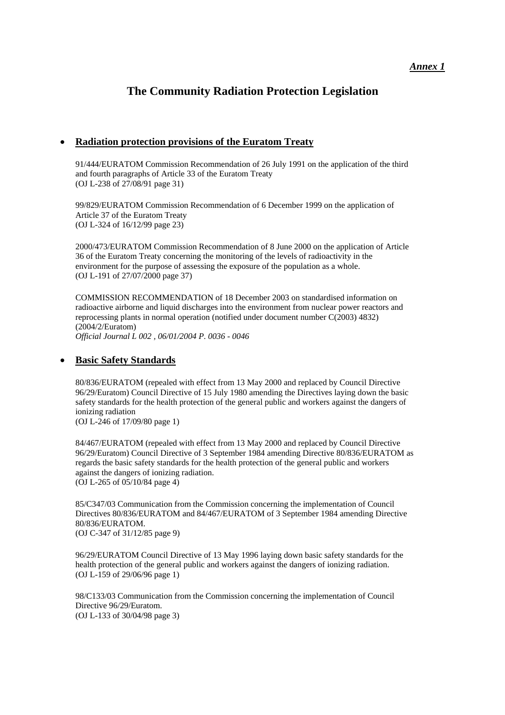## *Annex 1*

# **The Community Radiation Protection Legislation**

## • **Radiation protection provisions of the Euratom Treaty**

[91/444/EURATOM](http://europa.eu.int/comm/energy/nuclear/radioprotection/doc/legislation/91444_en.pdf) Commission Recommendation of 26 July 1991 on the application of the third and fourth paragraphs of Article 33 of the Euratom Treaty (OJ L-238 of 27/08/91 page 31)

[99/829/EURATOM](http://europa.eu.int/comm/energy/nuclear/radioprotection/doc/legislation/99829_en.pdf) Commission Recommendation of 6 December 1999 on the application of Article 37 of the Euratom Treaty (OJ L-324 of 16/12/99 page 23)

[2000/473/EURATOM](http://europa.eu.int/comm/energy/nuclear/radioprotection/doc/legislation/00473_en.pdf) Commission Recommendation of 8 June 2000 on the application of Article 36 of the Euratom Treaty concerning the monitoring of the levels of radioactivity in the environment for the purpose of assessing the exposure of the population as a whole. (OJ L-191 of 27/07/2000 page 37)

[COMMISSION RECOMMENDATION of 18 December 2003](http://europa.eu.int/smartapi/cgi/sga_doc?smartapi!celexapi!prod!celexnumdoc&lg=EN&numdoc=32004H0002) on standardised information on radioactive airborne and liquid discharges into the environment from nuclear power reactors and reprocessing plants in normal operation (notified under document number C(2003) 4832) (2004/2/Euratom)

*Official Journal L 002 , 06/01/2004 P. 0036 - 0046*

## • **Basic Safety Standards**

[80/836/EURATOM](http://europa.eu.int/comm/energy/nuclear/radioprotection/doc/legislation/80836_en.pdf) (repealed with effect from 13 May 2000 and replaced by Council Directive 96/29/Euratom) Council Directive of 15 July 1980 amending the Directives laying down the basic safety standards for the health protection of the general public and workers against the dangers of ionizing radiation

(OJ L-246 of 17/09/80 page 1)

[84/467/EURATOM](http://europa.eu.int/comm/energy/nuclear/radioprotection/doc/legislation/84467_en.pdf) (repealed with effect from 13 May 2000 and replaced by Council Directive 96/29/Euratom) Council Directive of 3 September 1984 amending Directive 80/836/EURATOM as regards the basic safety standards for the health protection of the general public and workers against the dangers of ionizing radiation. (OJ L-265 of 05/10/84 page 4)

[85/C347/03](http://europa.eu.int/comm/energy/nuclear/radioprotection/doc/legislation/85c347_en.pdf) Communication from the Commission concerning the implementation of Council Directives 80/836/EURATOM and 84/467/EURATOM of 3 September 1984 amending Directive 80/836/EURATOM. (OJ C-347 of 31/12/85 page 9)

[96/29/EURATOM](http://europa.eu.int/comm/energy/nuclear/radioprotection/doc/legislation/9629_en.pdf) Council Directive of 13 May 1996 laying down basic safety standards for the health protection of the general public and workers against the dangers of ionizing radiation. (OJ L-159 of 29/06/96 page 1)

[98/C133/03](http://europa.eu.int/comm/energy/nuclear/radioprotection/doc/legislation/98c13303_en.pdf) Communication from the Commission concerning the implementation of Council Directive 96/29/Euratom. (OJ L-133 of 30/04/98 page 3)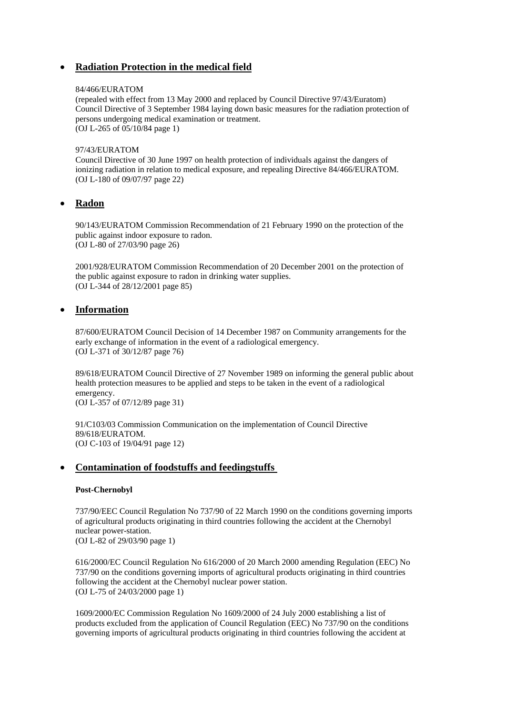# • **Radiation Protection in the medical field**

#### [84/466/EURATOM](http://europa.eu.int/comm/energy/nuclear/radioprotection/doc/legislation/84466_en.pdf)

(repealed with effect from 13 May 2000 and replaced by Council Directive 97/43/Euratom) Council Directive of 3 September 1984 laying down basic measures for the radiation protection of persons undergoing medical examination or treatment. (OJ L-265 of 05/10/84 page 1)

#### [97/43/EURATOM](http://europa.eu.int/comm/energy/nuclear/radioprotection/doc/legislation/9743_en.pdf)

Council Directive of 30 June 1997 on health protection of individuals against the dangers of ionizing radiation in relation to medical exposure, and repealing Directive 84/466/EURATOM. (OJ L-180 of 09/07/97 page 22)

## • **Radon**

[90/143/EURATOM](http://europa.eu.int/comm/energy/nuclear/radioprotection/doc/legislation/90143_en.pdf) Commission Recommendation of 21 February 1990 on the protection of the public against indoor exposure to radon. (OJ L-80 of 27/03/90 page 26)

[2001/928/EURATOM](http://europa.eu.int/comm/energy/nuclear/radioprotection/doc/legislation/01928_en.pdf) Commission Recommendation of 20 December 2001 on the protection of the public against exposure to radon in drinking water supplies. (OJ L-344 of 28/12/2001 page 85)

### • **Information**

[87/600/EURATOM](http://europa.eu.int/comm/energy/nuclear/radioprotection/doc/legislation/87600_en.pdf) Council Decision of 14 December 1987 on Community arrangements for the early exchange of information in the event of a radiological emergency. (OJ L-371 of 30/12/87 page 76)

[89/618/EURATOM](http://europa.eu.int/comm/energy/nuclear/radioprotection/doc/legislation/89618_en.pdf) Council Directive of 27 November 1989 on informing the general public about health protection measures to be applied and steps to be taken in the event of a radiological emergency. (OJ L-357 of 07/12/89 page 31)

[91/C103/03](http://europa.eu.int/comm/energy/nuclear/radioprotection/doc/legislation/91c10303_en.pdf) Commission Communication on the implementation of Council Directive 89/618/EURATOM. (OJ C-103 of 19/04/91 page 12)

### • **Contamination of foodstuffs and feedingstuffs**

#### **Post-Chernobyl**

[737/90/EEC](http://europa.eu.int/comm/energy/nuclear/radioprotection/doc/legislation/90737_en.pdf) Council Regulation No 737/90 of 22 March 1990 on the conditions governing imports of agricultural products originating in third countries following the accident at the Chernobyl nuclear power-station.

(OJ L-82 of 29/03/90 page 1)

616/2000/EC Council Regulation No 616/2000 of 20 March 2000 amending Regulation (EEC) No 737/90 on the conditions governing imports of agricultural products originating in third countries following the accident at the Chernobyl nuclear power station. (OJ L-75 of 24/03/2000 page 1)

[1609/2000/EC](http://europa.eu.int/comm/energy/nuclear/radioprotection/doc/legislation/001609_en.pdf) Commission Regulation No 1609/2000 of 24 July 2000 establishing a list of products excluded from the application of Council Regulation (EEC) No 737/90 on the conditions governing imports of agricultural products originating in third countries following the accident at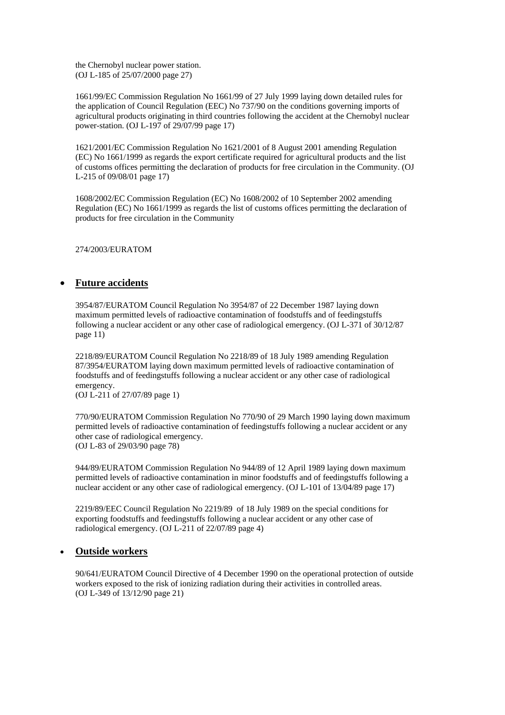the Chernobyl nuclear power station. (OJ L-185 of 25/07/2000 page 27)

[1661/99/EC](http://europa.eu.int/comm/energy/nuclear/radioprotection/doc/legislation/991661_en.pdf) Commission Regulation No 1661/99 of 27 July 1999 laying down detailed rules for the application of Council Regulation (EEC) No 737/90 on the conditions governing imports of agricultural products originating in third countries following the accident at the Chernobyl nuclear power-station. (OJ L-197 of 29/07/99 page 17)

[1621/2001/EC](http://europa.eu.int/comm/energy/nuclear/radioprotection/doc/legislation/011621_en.pdf) Commission Regulation No 1621/2001 of 8 August 2001 amending Regulation (EC) No 1661/1999 as regards the export certificate required for agricultural products and the list of customs offices permitting the declaration of products for free circulation in the Community. (OJ L-215 of 09/08/01 page 17)

[1608/2002/EC](http://europa.eu.int/smartapi/cgi/sga_doc?smartapi!celexplus!prod!DocNumber&lg=en&type_doc=Regulation&an_doc=2002&nu_doc=1608) Commission Regulation (EC) No 1608/2002 of 10 September 2002 amending Regulation (EC) No 1661/1999 as regards the list of customs offices permitting the declaration of products for free circulation in the Community

[274/2003/EURATOM](http://europa.eu.int/comm/energy/nuclear/radioprotection/doc/legislation/l_09920030417en00550056_en.pdf) 

# • **Future accidents**

[3954/87/EURATOM](http://europa.eu.int/comm/energy/nuclear/radioprotection/doc/legislation/873954_en.pdf) Council Regulation No 3954/87 of 22 December 1987 laying down maximum permitted levels of radioactive contamination of foodstuffs and of feedingstuffs following a nuclear accident or any other case of radiological emergency. (OJ L-371 of 30/12/87 page 11)

[2218/89/EURATOM](http://europa.eu.int/comm/energy/nuclear/radioprotection/doc/legislation/892218_en.pdf) Council Regulation No 2218/89 of 18 July 1989 amending Regulation 87/3954/EURATOM laying down maximum permitted levels of radioactive contamination of foodstuffs and of feedingstuffs following a nuclear accident or any other case of radiological emergency.

(OJ L-211 of 27/07/89 page 1)

[770/90/EURATOM](http://europa.eu.int/comm/energy/nuclear/radioprotection/doc/legislation/90770_en.pdf) Commission Regulation No 770/90 of 29 March 1990 laying down maximum permitted levels of radioactive contamination of feedingstuffs following a nuclear accident or any other case of radiological emergency. (OJ L-83 of 29/03/90 page 78)

[944/89/EURATOM](http://europa.eu.int/comm/energy/nuclear/radioprotection/doc/legislation/89944_en.pdf) Commission Regulation No 944/89 of 12 April 1989 laying down maximum permitted levels of radioactive contamination in minor foodstuffs and of feedingstuffs following a nuclear accident or any other case of radiological emergency. (OJ L-101 of 13/04/89 page 17)

[2219/89/EEC](http://europa.eu.int/comm/energy/nuclear/radioprotection/doc/legislation/892219_en.pdf) Council Regulation No 2219/89 of 18 July 1989 on the special conditions for exporting foodstuffs and feedingstuffs following a nuclear accident or any other case of radiological emergency. (OJ L-211 of 22/07/89 page 4)

### • **Outside workers**

[90/641/EURATOM](http://europa.eu.int/comm/energy/nuclear/radioprotection/doc/legislation/90641_en.pdf) Council Directive of 4 December 1990 on the operational protection of outside workers exposed to the risk of ionizing radiation during their activities in controlled areas. (OJ L-349 of 13/12/90 page 21)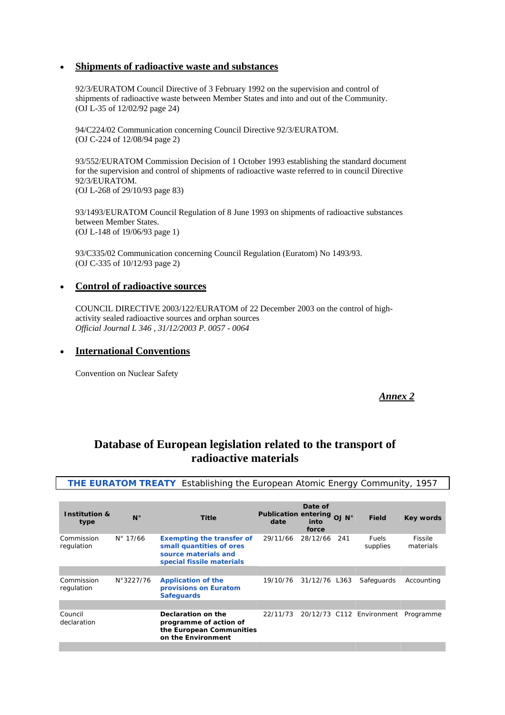## • **Shipments of radioactive waste and substances**

[92/3/EURATOM](http://europa.eu.int/comm/energy/nuclear/radioprotection/doc/legislation/923_en.pdf) Council Directive of 3 February 1992 on the supervision and control of shipments of radioactive waste between Member States and into and out of the Community. (OJ L-35 of 12/02/92 page 24)

[94/C224/02](http://europa.eu.int/comm/energy/nuclear/radioprotection/doc/legislation/94c22402_en.pdf) Communication concerning Council Directive 92/3/EURATOM. (OJ C-224 of 12/08/94 page 2)

[93/552/EURATOM](http://europa.eu.int/comm/energy/nuclear/radioprotection/doc/legislation/93552_en.pdf) Commission Decision of 1 October 1993 establishing the standard document for the supervision and control of shipments of radioactive waste referred to in council Directive 92/3/EURATOM. (OJ L-268 of 29/10/93 page 83)

[93/1493/EURATOM](http://europa.eu.int/comm/energy/nuclear/radioprotection/doc/legislation/931493_en.pdf) Council Regulation of 8 June 1993 on shipments of radioactive substances between Member States. (OJ L-148 of 19/06/93 page 1)

[93/C335/02](http://europa.eu.int/comm/energy/nuclear/radioprotection/doc/legislation/93c33502_en.pdf) Communication concerning Council Regulation (Euratom) No 1493/93. (OJ C-335 of 10/12/93 page 2)

### • **Control of radioactive sources**

[COUNCIL DIRECTIVE 2003/122/EURATOM of 22 December 2003](http://europa.eu.int/smartapi/cgi/sga_doc?smartapi!celexapi!prod!celexnumdoc&numdoc=32003L0122&lg=EN) on the control of highactivity sealed radioactive sources and orphan sources *Official Journal L 346 , 31/12/2003 P. 0057 - 0064* 

#### • **International Conventions**

[Convention on Nuclear Safety](http://europa.eu.int/comm/energy/nuclear/legislation/conventions_en.htm) 

### *Annex 2*

# **Database of European legislation related to the transport of radioactive materials**

**[THE EURATOM TREATY](http://europa.eu.int/abc/obj/treaties/en/entoc38.htm)** *Establishing the European Atomic Energy Community, 1957*

| $N^{\circ}$       | <b>Title</b>                                                                                                      | date     | Date of<br>into<br>force |     | <b>Field</b>                                | Key words                 |
|-------------------|-------------------------------------------------------------------------------------------------------------------|----------|--------------------------|-----|---------------------------------------------|---------------------------|
| $N^{\circ}$ 17/66 | <b>Exempting the transfer of</b><br>small quantities of ores<br>source materials and<br>special fissile materials | 29/11/66 | 28/12/66                 | 241 | <b>Fuels</b><br>supplies                    | Fissile<br>materials      |
|                   |                                                                                                                   |          |                          |     |                                             |                           |
| N°3227/76         | <b>Application of the</b><br>provisions on Euratom<br><b>Safequards</b>                                           | 19/10/76 |                          |     | Safeguards                                  | Accounting                |
|                   |                                                                                                                   |          |                          |     |                                             |                           |
|                   | Declaration on the<br>programme of action of<br>on the Environment                                                | 22/11/73 |                          |     |                                             | Programme                 |
|                   |                                                                                                                   |          | the European Communities |     | Publication entering OJ N°<br>31/12/76 L363 | 20/12/73 C112 Environment |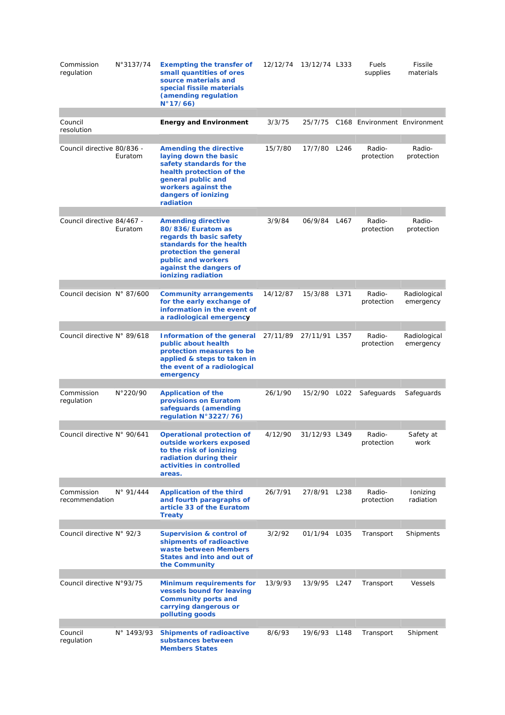| Commission<br>regulation     | N°3137/74          | <b>Exempting the transfer of</b><br>small quantities of ores<br>source materials and<br>special fissile materials<br>(amending regulation<br>N°17/66)                                                 | 12/12/74 | 13/12/74 L333 |      | Fuels<br>supplies            | Fissile<br>materials      |
|------------------------------|--------------------|-------------------------------------------------------------------------------------------------------------------------------------------------------------------------------------------------------|----------|---------------|------|------------------------------|---------------------------|
| Council<br>resolution        |                    | <b>Energy and Environment</b>                                                                                                                                                                         | 3/3/75   | 25/7/75       |      | C168 Environment Environment |                           |
| Council directive 80/836 -   | Euratom            | <b>Amending the directive</b><br>laying down the basic<br>safety standards for the<br>health protection of the<br>general public and<br>workers against the<br>dangers of ionizing<br>radiation       | 15/7/80  | 17/7/80       | L246 | Radio-<br>protection         | Radio-<br>protection      |
|                              |                    |                                                                                                                                                                                                       |          |               |      |                              |                           |
| Council directive 84/467 -   | Euratom            | <b>Amending directive</b><br>80/836/Euratom as<br>regards th basic safety<br>standards for the health<br>protection the general<br>public and workers<br>against the dangers of<br>ionizing radiation | 3/9/84   | 06/9/84       | L467 | Radio-<br>protection         | Radio-<br>protection      |
| Council decision N° 87/600   |                    | <b>Community arrangements</b><br>for the early exchange of<br>information in the event of<br>a radiological emergency                                                                                 | 14/12/87 | 15/3/88       | L371 | Radio-<br>protection         | Radiological<br>emergency |
| Council directive N° 89/618  |                    | <b>Information of the general</b><br>public about health<br>protection measures to be<br>applied & steps to taken in<br>the event of a radiological<br>emergency                                      | 27/11/89 | 27/11/91 L357 |      | Radio-<br>protection         | Radiological<br>emergency |
| Commission<br>regulation     | N°220/90           | <b>Application of the</b><br>provisions on Euratom<br>safeguards (amending<br>regulation N°3227/76)                                                                                                   | 26/1/90  | 15/2/90       | L022 | Safeguards                   | Safeguards                |
| Council directive N° 90/641  |                    | <b>Operational protection of</b><br>outside workers exposed<br>to the risk of ionizing<br>radiation during their<br>activities in controlled<br>areas.                                                | 4/12/90  | 31/12/93 L349 |      | Radio-<br>protection         | Safety at<br>work         |
| Commission<br>recommendation | $N^{\circ}$ 91/444 | <b>Application of the third</b><br>and fourth paragraphs of<br>article 33 of the Euratom<br><b>Treaty</b>                                                                                             | 26/7/91  | 27/8/91       | L238 | Radio-<br>protection         | Ionizing<br>radiation     |
| Council directive N° 92/3    |                    | <b>Supervision &amp; control of</b><br>shipments of radioactive<br>waste between Members<br>States and into and out of<br>the Community                                                               | 3/2/92   | 01/1/94       | L035 | Transport                    | Shipments                 |
| Council directive N°93/75    |                    | <b>Minimum requirements for</b><br>vessels bound for leaving<br><b>Community ports and</b><br>carrying dangerous or<br>polluting goods                                                                | 13/9/93  | 13/9/95 L247  |      | Transport                    | Vessels                   |
| Council<br>regulation        | N° 1493/93         | <b>Shipments of radioactive</b><br>substances between<br><b>Members States</b>                                                                                                                        | 8/6/93   | 19/6/93 L148  |      | Transport                    | Shipment                  |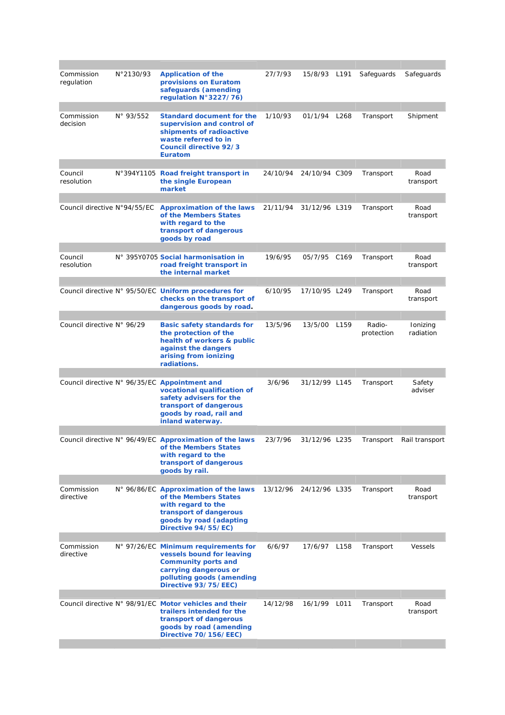| Commission<br>regulation     | N°2130/93          | <b>Application of the</b><br>provisions on Euratom<br>safeguards (amending<br>regulation N°3227/76)                                                                              | 27/7/93  | 15/8/93 L191  |      | Safeguards           | Safeguards            |
|------------------------------|--------------------|----------------------------------------------------------------------------------------------------------------------------------------------------------------------------------|----------|---------------|------|----------------------|-----------------------|
| Commission<br>decision       | $N^{\circ}$ 93/552 | <b>Standard document for the</b><br>supervision and control of<br>shipments of radioactive<br>waste referred to in<br><b>Council directive 92/3</b><br><b>Euratom</b>            | 1/10/93  | 01/1/94       | L268 | Transport            | Shipment              |
|                              |                    |                                                                                                                                                                                  |          |               |      |                      |                       |
| Council<br>resolution        |                    | N°394Y1105 Road freight transport in<br>the single European<br>market                                                                                                            | 24/10/94 | 24/10/94 C309 |      | Transport            | Road<br>transport     |
| Council directive N°94/55/EC |                    | <b>Approximation of the laws</b><br>of the Members States<br>with regard to the<br>transport of dangerous<br>goods by road                                                       | 21/11/94 | 31/12/96 L319 |      | Transport            | Road<br>transport     |
|                              |                    |                                                                                                                                                                                  |          |               |      |                      |                       |
| Council<br>resolution        |                    | N° 395Y0705 Social harmonisation in<br>road freight transport in<br>the internal market                                                                                          | 19/6/95  | 05/7/95 C169  |      | Transport            | Road<br>transport     |
|                              |                    | Council directive N° 95/50/EC <b>Uniform procedures for</b><br>checks on the transport of<br>dangerous goods by road.                                                            | 6/10/95  | 17/10/95 L249 |      | Transport            | Road<br>transport     |
| Council directive N° 96/29   |                    | <b>Basic safety standards for</b><br>the protection of the<br>health of workers & public<br>against the dangers<br>arising from ionizing<br>radiations.                          | 13/5/96  | 13/5/00       | L159 | Radio-<br>protection | Ionizing<br>radiation |
|                              |                    | Council directive N° 96/35/EC Appointment and<br>vocational qualification of<br>safety advisers for the<br>transport of dangerous<br>goods by road, rail and<br>inland waterway. | 3/6/96   | 31/12/99 L145 |      | Transport            | Safety<br>adviser     |
|                              |                    | Council directive N° 96/49/EC Approximation of the laws<br>of the Members States<br>with regard to the<br>transport of dangerous<br>goods by rail.                               | 23/7/96  | 31/12/96 L235 |      | Transport            | Rail transport        |
|                              |                    |                                                                                                                                                                                  |          |               |      |                      |                       |
| Commission<br>directive      |                    | N° 96/86/EC Approximation of the laws<br>of the Members States<br>with regard to the<br>transport of dangerous<br>goods by road (adapting<br>Directive 94/55/EC)                 | 13/12/96 | 24/12/96 L335 |      | Transport            | Road<br>transport     |
| Commission<br>directive      |                    | N° 97/26/EC Minimum requirements for<br>vessels bound for leaving<br><b>Community ports and</b><br>carrying dangerous or<br>polluting goods (amending<br>Directive 93/75/EEC)    | 6/6/97   | 17/6/97 L158  |      | Transport            | Vessels               |
|                              |                    | Council directive N° 98/91/EC Motor vehicles and their<br>trailers intended for the<br>transport of dangerous<br>goods by road (amending<br>Directive 70/156/EEC)                | 14/12/98 | 16/1/99       | L011 | Transport            | Road<br>transport     |
|                              |                    |                                                                                                                                                                                  |          |               |      |                      |                       |

the control of the control of the